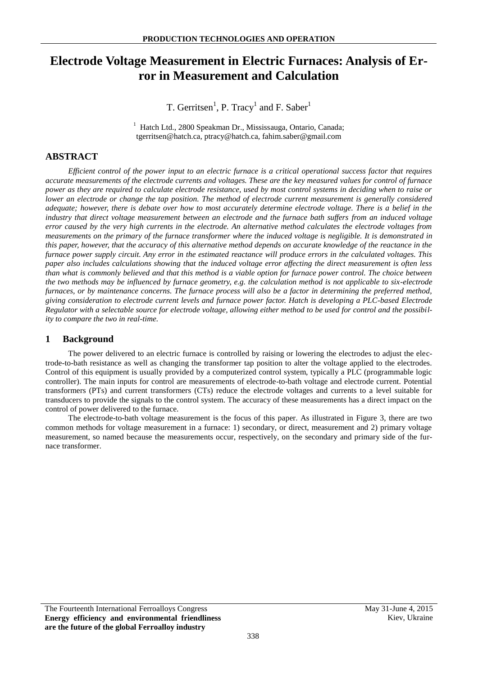# **Electrode Voltage Measurement in Electric Furnaces: Analysis of Error in Measurement and Calculation**

T. Gerritsen<sup>1</sup>, P. Tracy<sup>1</sup> and F. Saber<sup>1</sup>

<sup>1</sup> Hatch Ltd., 2800 Speakman Dr., Mississauga, Ontario, Canada; tgerritsen@hatch.ca, ptracy@hatch.ca, fahim.saber@gmail.com

# **ABSTRACT**

*Efficient control of the power input to an electric furnace is a critical operational success factor that requires accurate measurements of the electrode currents and voltages. These are the key measured values for control of furnace power as they are required to calculate electrode resistance, used by most control systems in deciding when to raise or lower an electrode or change the tap position. The method of electrode current measurement is generally considered adequate; however, there is debate over how to most accurately determine electrode voltage. There is a belief in the industry that direct voltage measurement between an electrode and the furnace bath suffers from an induced voltage error caused by the very high currents in the electrode. An alternative method calculates the electrode voltages from measurements on the primary of the furnace transformer where the induced voltage is negligible. It is demonstrated in this paper, however, that the accuracy of this alternative method depends on accurate knowledge of the reactance in the furnace power supply circuit. Any error in the estimated reactance will produce errors in the calculated voltages. This paper also includes calculations showing that the induced voltage error affecting the direct measurement is often less than what is commonly believed and that this method is a viable option for furnace power control. The choice between the two methods may be influenced by furnace geometry, e.g. the calculation method is not applicable to six-electrode furnaces, or by maintenance concerns. The furnace process will also be a factor in determining the preferred method, giving consideration to electrode current levels and furnace power factor. Hatch is developing a PLC-based Electrode Regulator with a selectable source for electrode voltage, allowing either method to be used for control and the possibility to compare the two in real-time.*

## **1 Background**

The power delivered to an electric furnace is controlled by raising or lowering the electrodes to adjust the electrode-to-bath resistance as well as changing the transformer tap position to alter the voltage applied to the electrodes. Control of this equipment is usually provided by a computerized control system, typically a PLC (programmable logic controller). The main inputs for control are measurements of electrode-to-bath voltage and electrode current. Potential transformers (PTs) and current transformers (CTs) reduce the electrode voltages and currents to a level suitable for transducers to provide the signals to the control system. The accuracy of these measurements has a direct impact on the control of power delivered to the furnace.

The electrode-to-bath voltage measurement is the focus of this paper. As illustrated in [Figure 3,](#page-1-0) there are two common methods for voltage measurement in a furnace: 1) secondary, or direct, measurement and 2) primary voltage measurement, so named because the measurements occur, respectively, on the secondary and primary side of the furnace transformer.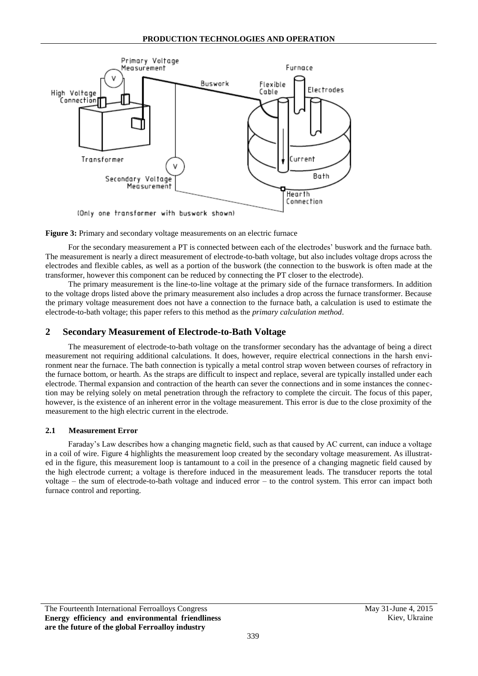

<span id="page-1-0"></span>**Figure 3:** Primary and secondary voltage measurements on an electric furnace

For the secondary measurement a PT is connected between each of the electrodes' buswork and the furnace bath. The measurement is nearly a direct measurement of electrode-to-bath voltage, but also includes voltage drops across the electrodes and flexible cables, as well as a portion of the buswork (the connection to the buswork is often made at the transformer, however this component can be reduced by connecting the PT closer to the electrode).

The primary measurement is the line-to-line voltage at the primary side of the furnace transformers. In addition to the voltage drops listed above the primary measurement also includes a drop across the furnace transformer. Because the primary voltage measurement does not have a connection to the furnace bath, a calculation is used to estimate the electrode-to-bath voltage; this paper refers to this method as the *primary calculation method*.

# <span id="page-1-1"></span>**2 Secondary Measurement of Electrode-to-Bath Voltage**

The measurement of electrode-to-bath voltage on the transformer secondary has the advantage of being a direct measurement not requiring additional calculations. It does, however, require electrical connections in the harsh environment near the furnace. The bath connection is typically a metal control strap woven between courses of refractory in the furnace bottom, or hearth. As the straps are difficult to inspect and replace, several are typically installed under each electrode. Thermal expansion and contraction of the hearth can sever the connections and in some instances the connection may be relying solely on metal penetration through the refractory to complete the circuit. The focus of this paper, however, is the existence of an inherent error in the voltage measurement. This error is due to the close proximity of the measurement to the high electric current in the electrode.

## **2.1 Measurement Error**

Faraday's Law describes how a changing magnetic field, such as that caused by AC current, can induce a voltage in a coil of wire. [Figure 4](#page-2-0) highlights the measurement loop created by the secondary voltage measurement. As illustrated in the figure, this measurement loop is tantamount to a coil in the presence of a changing magnetic field caused by the high electrode current; a voltage is therefore induced in the measurement leads. The transducer reports the total voltage – the sum of electrode-to-bath voltage and induced error – to the control system. This error can impact both furnace control and reporting.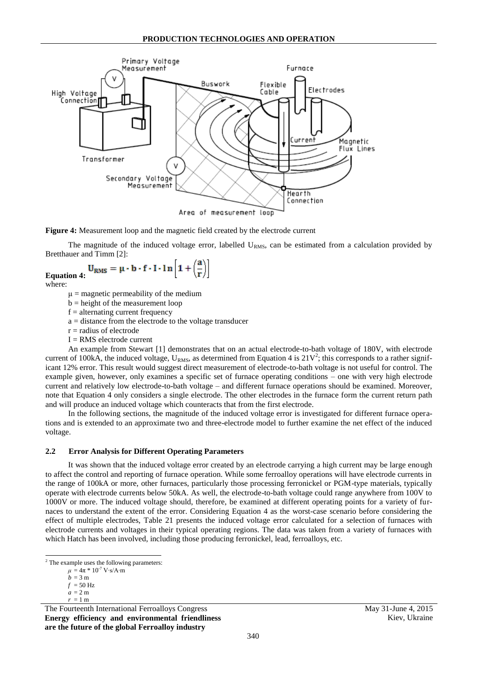

<span id="page-2-0"></span>**Figure 4:** Measurement loop and the magnetic field created by the electrode current

The magnitude of the induced voltage error, labelled  $U<sub>RMS</sub>$ , can be estimated from a calculation provided by Bretthauer and Timm [\[2\]:](#page-10-0)

<span id="page-2-1"></span>
$$
Equation 4: U_{RMS} = \mu \cdot b \cdot f \cdot I \cdot \ln\left[1 + \left(\frac{a}{r}\right)\right]
$$

where:

 $\mu$  = magnetic permeability of the medium

- b = height of the measurement loop
- $f =$  alternating current frequency
- a = distance from the electrode to the voltage transducer
- $r =$  radius of electrode
- $I = RMS$  electrode current

An example from Stewart [\[1\]](#page-10-1) demonstrates that on an actual electrode-to-bath voltage of 180V, with electrode current of 100kA, the induced voltage,  $U_{RMS}$ , as determined from [Equation 4](#page-2-1) is  $21V^2$ ; this corresponds to a rather significant 12% error. This result would suggest direct measurement of electrode-to-bath voltage is not useful for control. The example given, however, only examines a specific set of furnace operating conditions – one with very high electrode current and relatively low electrode-to-bath voltage – and different furnace operations should be examined. Moreover, note that [Equation 4](#page-2-1) only considers a single electrode. The other electrodes in the furnace form the current return path and will produce an induced voltage which counteracts that from the first electrode.

In the following sections, the magnitude of the induced voltage error is investigated for different furnace operations and is extended to an approximate two and three-electrode model to further examine the net effect of the induced voltage.

#### **2.2 Error Analysis for Different Operating Parameters**

It was shown that the induced voltage error created by an electrode carrying a high current may be large enough to affect the control and reporting of furnace operation. While some ferroalloy operations will have electrode currents in the range of 100kA or more, other furnaces, particularly those processing ferronickel or PGM-type materials, typically operate with electrode currents below 50kA. As well, the electrode-to-bath voltage could range anywhere from 100V to 1000V or more. The induced voltage should, therefore, be examined at different operating points for a variety of furnaces to understand the extent of the error. Considering [Equation 4](#page-2-1) as the worst-case scenario before considering the effect of multiple electrodes, [Table 21](#page-3-0) presents the induced voltage error calculated for a selection of furnaces with electrode currents and voltages in their typical operating regions. The data was taken from a variety of furnaces with which Hatch has been involved, including those producing ferronickel, lead, ferroalloys, etc.

1

 $r = 1$  m

The Fourteenth International Ferroalloys Congress May 31-June 4, 2015 **Energy efficiency and environmental friendliness are the future of the global Ferroalloy industry**

 $2$  The example uses the following parameters:

 $\mu = 4\pi * 10^{-7}$  V⋅s/A⋅m  $h - 3$  m

 $f = 50$  Hz

 $a = 2m$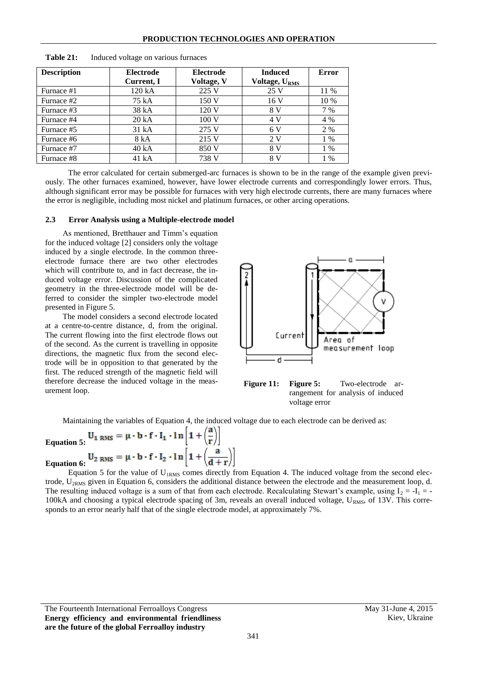| <b>Description</b> | <b>Electrode</b> | <b>Electrode</b> | <b>Induced</b>            | Error |
|--------------------|------------------|------------------|---------------------------|-------|
|                    | Current, I       | Voltage, V       | Voltage, U <sub>RMS</sub> |       |
| Furnace #1         | 120 kA           | 225 V            | 25 V                      | 11 %  |
| Furnace #2         | 75 kA            | 150 V            | 16V                       | 10 %  |
| Furnace #3         | 38 kA            | 120 V            | 8 V                       | 7 %   |
| Furnace #4         | 20 kA            | 100V             | 4 V                       | 4 %   |
| Furnace #5         | 31 kA            | 275 V            | 6 V                       | 2 %   |
| Furnace #6         | 8 kA             | 215 V            | 2V                        | 1 %   |
| Furnace #7         | 40 kA            | 850 V            | 8 V                       | $1\%$ |
| Furnace #8         | 41 kA            | 738 V            | 8 V                       | 1 %   |

<span id="page-3-0"></span>**Table 21:** Induced voltage on various furnaces

The error calculated for certain submerged-arc furnaces is shown to be in the range of the example given previously. The other furnaces examined, however, have lower electrode currents and correspondingly lower errors. Thus, although significant error may be possible for furnaces with very high electrode currents, there are many furnaces where the error is negligible, including most nickel and platinum furnaces, or other arcing operations.

#### **2.3 Error Analysis using a Multiple-electrode model**

As mentioned, Bretthauer and Timm's equation for the induced voltage [\[2\]](#page-10-0) considers only the voltage induced by a single electrode. In the common threeelectrode furnace there are two other electrodes which will contribute to, and in fact decrease, the induced voltage error. Discussion of the complicated geometry in the three-electrode model will be deferred to consider the simpler two-electrode model presented in [Figure 5.](#page-3-1)

The model considers a second electrode located at a centre-to-centre distance, d, from the original. The current flowing into the first electrode flows out of the second. As the current is travelling in opposite directions, the magnetic flux from the second electrode will be in opposition to that generated by the first. The reduced strength of the magnetic field will therefore decrease the induced voltage in the measurement loop.



<span id="page-3-1"></span>

Maintaining the variables of [Equation 4,](#page-2-1) the induced voltage due to each electrode can be derived as:

<span id="page-3-3"></span><span id="page-3-2"></span>Equation 5: 
$$
U_1
$$
 RMS =  $\mu \cdot b \cdot f \cdot I_1 \cdot \ln \left[1 + \left(\frac{a}{r}\right)\right]$   
Equation 6:  $U_2$  RMS =  $\mu \cdot b \cdot f \cdot I_2 \cdot \ln \left[1 + \left(\frac{a}{d+r}\right)\right]$ 

[Equation 5](#page-3-2) for the value of  $U_{IRMS}$  comes directly from [Equation 4.](#page-2-1) The induced voltage from the second electrode,  $U_{2RMS}$  given in [Equation 6,](#page-3-3) considers the additional distance between the electrode and the measurement loop, d. The resulting induced voltage is a sum of that from each electrode. Recalculating Stewart's example, using  $I_2 = -I_1 = -I_2$ 100kA and choosing a typical electrode spacing of 3m, reveals an overall induced voltage,  $U_{RMS}$ , of 13V. This corresponds to an error nearly half that of the single electrode model, at approximately 7%.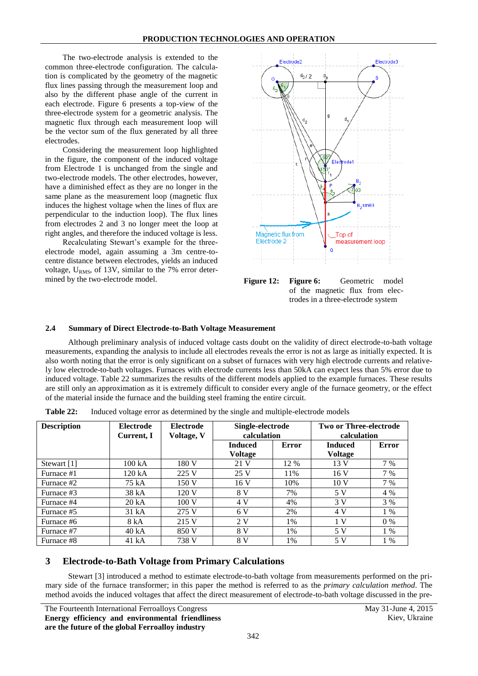The two-electrode analysis is extended to the common three-electrode configuration. The calculation is complicated by the geometry of the magnetic flux lines passing through the measurement loop and also by the different phase angle of the current in each electrode. [Figure 6](#page-4-0) presents a top-view of the three-electrode system for a geometric analysis. The magnetic flux through each measurement loop will be the vector sum of the flux generated by all three electrodes.

Considering the measurement loop highlighted in the figure, the component of the induced voltage from Electrode 1 is unchanged from the single and two-electrode models. The other electrodes, however, have a diminished effect as they are no longer in the same plane as the measurement loop (magnetic flux induces the highest voltage when the lines of flux are perpendicular to the induction loop). The flux lines from electrodes 2 and 3 no longer meet the loop at right angles, and therefore the induced voltage is less.

<span id="page-4-0"></span>Recalculating Stewart's example for the threeelectrode model, again assuming a 3m centre-tocentre distance between electrodes, yields an induced voltage,  $U<sub>RMS</sub>$ , of 13V, similar to the 7% error deter-



#### **2.4 Summary of Direct Electrode-to-Bath Voltage Measurement**

Although preliminary analysis of induced voltage casts doubt on the validity of direct electrode-to-bath voltage measurements, expanding the analysis to include all electrodes reveals the error is not as large as initially expected. It is also worth noting that the error is only significant on a subset of furnaces with very high electrode currents and relatively low electrode-to-bath voltages. Furnaces with electrode currents less than 50kA can expect less than 5% error due to induced voltage. [Table 22](#page-4-1) summarizes the results of the different models applied to the example furnaces. These results are still only an approximation as it is extremely difficult to consider every angle of the furnace geometry, or the effect of the material inside the furnace and the building steel framing the entire circuit.

| <b>Description</b> | <b>Electrode</b><br>Current, I | <b>Electrode</b><br>Voltage, V | Single-electrode<br>calculation  |       | <b>Two or Three-electrode</b><br>calculation |       |  |
|--------------------|--------------------------------|--------------------------------|----------------------------------|-------|----------------------------------------------|-------|--|
|                    |                                |                                | <b>Induced</b><br><b>Voltage</b> | Error | <b>Induced</b><br><b>Voltage</b>             | Error |  |
| Stewart $[1]$      | 100 kA                         | 180 V                          | 21 V                             | 12 %  | 13V                                          | 7 %   |  |
| Furnace #1         | 120 kA                         | 225 V                          | 25 V                             | 11%   | 16V                                          | 7 %   |  |
| Furnace #2         | 75 kA                          | 150V                           | 16V                              | 10%   | 10 <sub>V</sub>                              | 7 %   |  |
| Furnace #3         | 38 kA                          | 120 V                          | 8 V                              | 7%    | 5 V                                          | 4 %   |  |
| Furnace #4         | 20 kA                          | 100V                           | 4 V                              | 4%    | 3V                                           | 3 %   |  |
| Furnace #5         | 31 kA                          | 275 V                          | 6V                               | 2%    | 4 V                                          | $1\%$ |  |
| Furnace #6         | 8 kA                           | 215 V                          | 2V                               | 1%    | 1 <sup>V</sup>                               | $0\%$ |  |
| Furnace #7         | 40 kA                          | 850 V                          | 8 V                              | $1\%$ | 5 V                                          | $1\%$ |  |
| Furnace #8         | 41 kA                          | 738 V                          | 8 V                              | $1\%$ | 5 V                                          | $1\%$ |  |

<span id="page-4-1"></span>**Table 22:** Induced voltage error as determined by the single and multiple-electrode models

## **3 Electrode-to-Bath Voltage from Primary Calculations**

Stewart [\[3\]](#page-10-2) introduced a method to estimate electrode-to-bath voltage from measurements performed on the primary side of the furnace transformer; in this paper the method is referred to as the *primary calculation method*. The method avoids the induced voltages that affect the direct measurement of electrode-to-bath voltage discussed in the pre-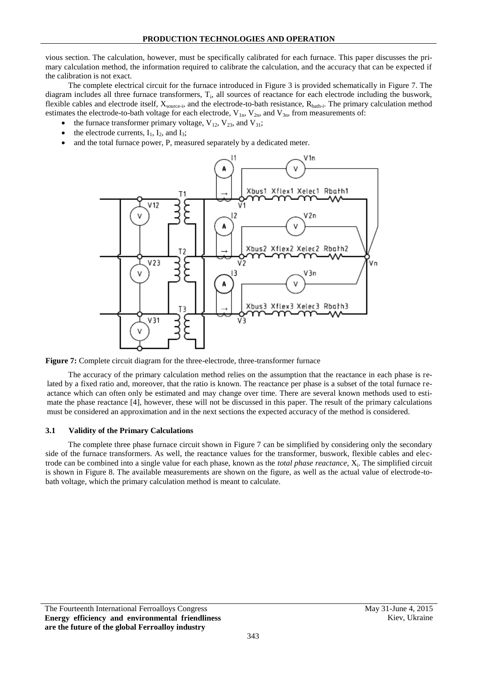vious section. The calculation, however, must be specifically calibrated for each furnace. This paper discusses the primary calculation method, the information required to calibrate the calculation, and the accuracy that can be expected if the calibration is not exact.

The complete electrical circuit for the furnace introduced in [Figure 3](#page-1-0) is provided schematically in [Figure 7.](#page-5-0) The diagram includes all three furnace transformers,  $T_i$ , all sources of reactance for each electrode including the buswork, flexible cables and electrode itself,  $X_{source-i}$ , and the electrode-to-bath resistance,  $R_{bath-i}$ . The primary calculation method estimates the electrode-to-bath voltage for each electrode,  $V_{1n}$ ,  $V_{2n}$ , and  $V_{3n}$ , from measurements of:

- the furnace transformer primary voltage,  $V_{12}$ ,  $V_{23}$ , and  $V_{31}$ ;
- the electrode currents,  $I_1$ ,  $I_2$ , and  $I_3$ ;
- and the total furnace power, P, measured separately by a dedicated meter.



<span id="page-5-0"></span>**Figure 7:** Complete circuit diagram for the three-electrode, three-transformer furnace

The accuracy of the primary calculation method relies on the assumption that the reactance in each phase is related by a fixed ratio and, moreover, that the ratio is known. The reactance per phase is a subset of the total furnace reactance which can often only be estimated and may change over time. There are several known methods used to estimate the phase reactance [\[4\],](#page-10-3) however, these will not be discussed in this paper. The result of the primary calculations must be considered an approximation and in the next sections the expected accuracy of the method is considered.

#### **3.1 Validity of the Primary Calculations**

The complete three phase furnace circuit shown in [Figure 7](#page-5-0) can be simplified by considering only the secondary side of the furnace transformers. As well, the reactance values for the transformer, buswork, flexible cables and electrode can be combined into a single value for each phase, known as the *total phase reactance*, X<sub>i</sub>. The simplified circuit is shown in [Figure 8.](#page-6-0) The available measurements are shown on the figure, as well as the actual value of electrode-tobath voltage, which the primary calculation method is meant to calculate.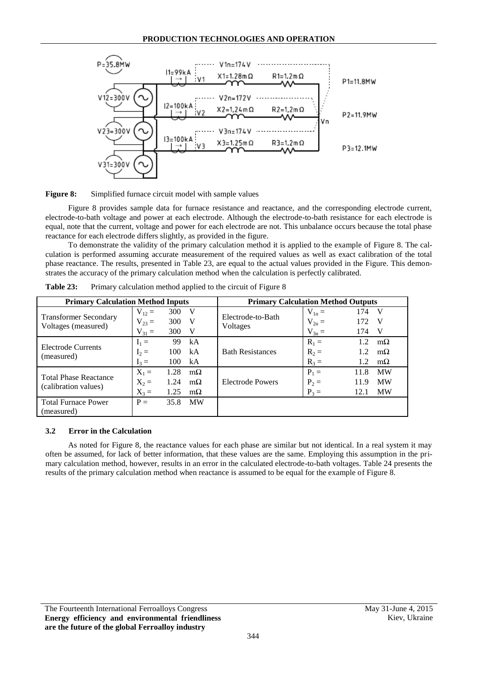

<span id="page-6-0"></span>

[Figure 8](#page-6-0) provides sample data for furnace resistance and reactance, and the corresponding electrode current, electrode-to-bath voltage and power at each electrode. Although the electrode-to-bath resistance for each electrode is equal, note that the current, voltage and power for each electrode are not. This unbalance occurs because the total phase reactance for each electrode differs slightly, as provided in the figure.

To demonstrate the validity of the primary calculation method it is applied to the example of [Figure 8.](#page-6-0) The calculation is performed assuming accurate measurement of the required values as well as exact calibration of the total phase reactance. The results, presented in [Table 23,](#page-6-1) are equal to the actual values provided in the Figure. This demonstrates the accuracy of the primary calculation method when the calculation is perfectly calibrated.

| <b>Primary Calculation Method Inputs</b> |            |      | <b>Primary Calculation Method Outputs</b> |                         |            |      |           |  |
|------------------------------------------|------------|------|-------------------------------------------|-------------------------|------------|------|-----------|--|
| <b>Transformer Secondary</b>             | $V_{12} =$ | 300  | V                                         | Electrode-to-Bath       | $V_{1n} =$ | 174  | - V       |  |
|                                          | $V_{23} =$ | 300  | V                                         |                         | $V_{2n} =$ | 172  | - V       |  |
| Voltages (measured)                      | $V_{31} =$ | 300  | V                                         | Voltages                | $V_{3n} =$ | 174  | - V       |  |
| Electrode Currents<br>(measured)         | $I_1 =$    | 99   | kA                                        |                         | $R_1 =$    | 12   | $m\Omega$ |  |
|                                          | $I_2 =$    | 100  | kA                                        | <b>Bath Resistances</b> | $R_2 =$    | 1.2. | $m\Omega$ |  |
|                                          | $I_3 =$    | 100  | kA                                        |                         | $R_3 =$    | 1.2  | $m\Omega$ |  |
| <b>Total Phase Reactance</b>             | $X_1 =$    | 1.28 | $m\Omega$                                 |                         | $P_1 =$    | 11.8 | <b>MW</b> |  |
| (calibration values)                     | $X_2 =$    | 1.24 | $m\Omega$                                 | Electrode Powers        | $P_2 =$    | 11.9 | <b>MW</b> |  |
|                                          | $X_3 =$    | 1.25 | $m\Omega$                                 |                         | $P_3 =$    | 12.1 | <b>MW</b> |  |
| <b>Total Furnace Power</b>               | $P =$      | 35.8 | <b>MW</b>                                 |                         |            |      |           |  |
| (measured)                               |            |      |                                           |                         |            |      |           |  |

<span id="page-6-1"></span>**Table 23:** Primary calculation method applied to the circuit of [Figure 8](#page-6-0)

#### **3.2 Error in the Calculation**

As noted for [Figure 8,](#page-6-0) the reactance values for each phase are similar but not identical. In a real system it may often be assumed, for lack of better information, that these values are the same. Employing this assumption in the primary calculation method, however, results in an error in the calculated electrode-to-bath voltages. [Table 24](#page-7-0) presents the results of the primary calculation method when reactance is assumed to be equal for the example of [Figure 8.](#page-6-0)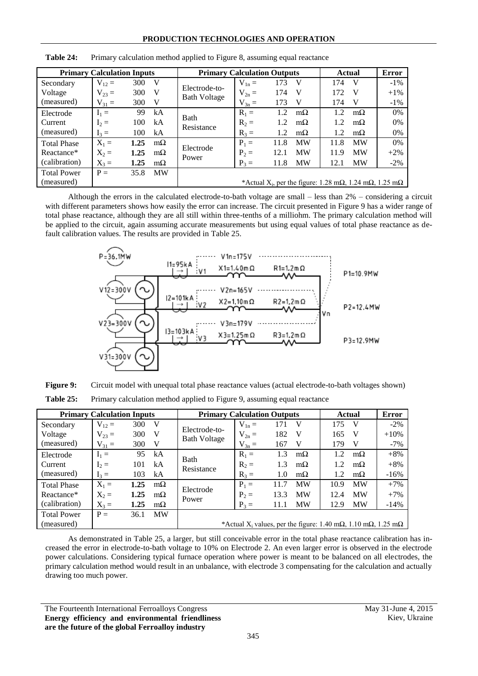| <b>Primary Calculation Inputs</b> |            |      | <b>Primary Calculation Outputs</b> | Actual                               | Error      |      |           |      |           |                                                                                              |
|-----------------------------------|------------|------|------------------------------------|--------------------------------------|------------|------|-----------|------|-----------|----------------------------------------------------------------------------------------------|
| Secondary                         | $V_{12} =$ | 300  | V                                  |                                      | $V_{1n} =$ | 173  | V         | 174  | V         | $-1\%$                                                                                       |
| Voltage                           | $V_{23} =$ | 300  | V                                  | Electrode-to-<br><b>Bath Voltage</b> | $V_{2n} =$ | 174  | V         | 172  | V         | $+1\%$                                                                                       |
| (measured)                        | $V_{31} =$ | 300  | V                                  |                                      | $V_{3n} =$ | 173  | V         | 174  | V         | $-1\%$                                                                                       |
| Electrode                         | $I_1 =$    | 99   | kA                                 |                                      | $R_1 =$    | 1.2. | $m\Omega$ | 12   | $m\Omega$ | $0\%$                                                                                        |
| Current                           | $I_2 =$    | 100  | kA                                 | <b>Bath</b><br>Resistance            | $R_2 =$    | 1.2  | $m\Omega$ | 1.2  | $m\Omega$ | 0%                                                                                           |
| (measured)                        | $I_3 =$    | 100  | kA                                 |                                      | $R_3 =$    | 1.2  | $m\Omega$ | 1.2  | $m\Omega$ | 0%                                                                                           |
| <b>Total Phase</b>                | $X_1 =$    | 1.25 | $m\Omega$                          |                                      | $P_1 =$    | 11.8 | <b>MW</b> | 11.8 | <b>MW</b> | 0%                                                                                           |
| Reactance*                        | $X_2 =$    | 1.25 | $m\Omega$                          | Electrode<br>Power                   | $P_2 =$    | 12.1 | <b>MW</b> | 11.9 | <b>MW</b> | $+2\%$                                                                                       |
| (calibration)                     | $X_3 =$    | 1.25 | $m\Omega$                          |                                      | $P_3 =$    | 11.8 | MW        | 12.1 | <b>MW</b> | $-2\%$                                                                                       |
| <b>Total Power</b>                | $P =$      | 35.8 | <b>MW</b>                          |                                      |            |      |           |      |           |                                                                                              |
| (measured)                        |            |      |                                    |                                      |            |      |           |      |           | *Actual X <sub>i</sub> , per the figure: 1.28 m $\Omega$ , 1.24 m $\Omega$ , 1.25 m $\Omega$ |

<span id="page-7-0"></span>**Table 24:** Primary calculation method applied to [Figure 8,](#page-6-0) assuming equal reactance

Although the errors in the calculated electrode-to-bath voltage are small – less than 2% – considering a circuit with different parameters shows how easily the error can increase. The circuit presented in [Figure 9](#page-7-1) has a wider range of total phase reactance, although they are all still within three-tenths of a milliohm. The primary calculation method will be applied to the circuit, again assuming accurate measurements but using equal values of total phase reactance as default calibration values. The results are provided in [Table 25.](#page-7-2)



<span id="page-7-2"></span><span id="page-7-1"></span>**Figure 9:** Circuit model with unequal total phase reactance values (actual electrode-to-bath voltages shown) Table 25: Primary calculation method applied to [Figure 9,](#page-7-1) assuming equal reactance

|                    | <b>Primary Calculation Inputs</b> |      |              | <b>Primary Calculation Outputs</b>   |                                                                                                    |      |           | Actual | <b>Error</b> |        |
|--------------------|-----------------------------------|------|--------------|--------------------------------------|----------------------------------------------------------------------------------------------------|------|-----------|--------|--------------|--------|
| Secondary          | $V_{12} =$                        | 300  | $\mathbf{V}$ |                                      | $V_{1n} =$                                                                                         | 171  | V         | 175    | - V          | $-2\%$ |
| Voltage            | $V_{23} =$                        | 300  | - V          | Electrode-to-<br><b>Bath Voltage</b> | $V_{2n} =$                                                                                         | 182  | V         | 165    | V            | $+10%$ |
| (measured)         | $V_{31} =$                        | 300  | - V          |                                      | $V_{3n} =$                                                                                         | 167  | V         | 179    | V            | $-7\%$ |
| Electrode          | $I_1 =$                           | 95   | kA           | <b>Bath</b>                          | $R_1 =$                                                                                            | 1.3  | $m\Omega$ | 1.2.   | $m\Omega$    | $+8%$  |
| Current            | $I_2 =$                           | 101  | kA           | Resistance                           | $R_2 =$                                                                                            | 1.3  | $m\Omega$ | 1.2    | $m\Omega$    | $+8%$  |
| (measured)         | $I_3 =$                           | 103  | kA           |                                      | $R_3 =$                                                                                            | 1.0  | $m\Omega$ | 1.2    | $m\Omega$    | $-16%$ |
| <b>Total Phase</b> | $X_1 =$                           | 1.25 | $m\Omega$    |                                      | $P_1 =$                                                                                            | 11.7 | <b>MW</b> | 10.9   | <b>MW</b>    | $+7%$  |
| Reactance*         | $X_2 =$                           | 1.25 | $m\Omega$    | Electrode<br>Power                   | $P_2 =$                                                                                            | 13.3 | <b>MW</b> | 12.4   | <b>MW</b>    | $+7%$  |
| (calibration)      | $X_3 =$                           | 1.25 | $m\Omega$    |                                      | $P_3 =$                                                                                            | 11.1 | <b>MW</b> | 12.9   | <b>MW</b>    | $-14%$ |
| <b>Total Power</b> | $P =$                             | 36.1 | <b>MW</b>    |                                      |                                                                                                    |      |           |        |              |        |
| (measured)         |                                   |      |              |                                      | *Actual X <sub>i</sub> values, per the figure: 1.40 m $\Omega$ , 1.10 m $\Omega$ , 1.25 m $\Omega$ |      |           |        |              |        |

As demonstrated in [Table 25,](#page-7-2) a larger, but still conceivable error in the total phase reactance calibration has increased the error in electrode-to-bath voltage to 10% on Electrode 2. An even larger error is observed in the electrode power calculations. Considering typical furnace operation where power is meant to be balanced on all electrodes, the primary calculation method would result in an unbalance, with electrode 3 compensating for the calculation and actually drawing too much power.

The Fourteenth International Ferroalloys Congress May 31-June 4, 2015 **Energy efficiency and environmental friendliness are the future of the global Ferroalloy industry**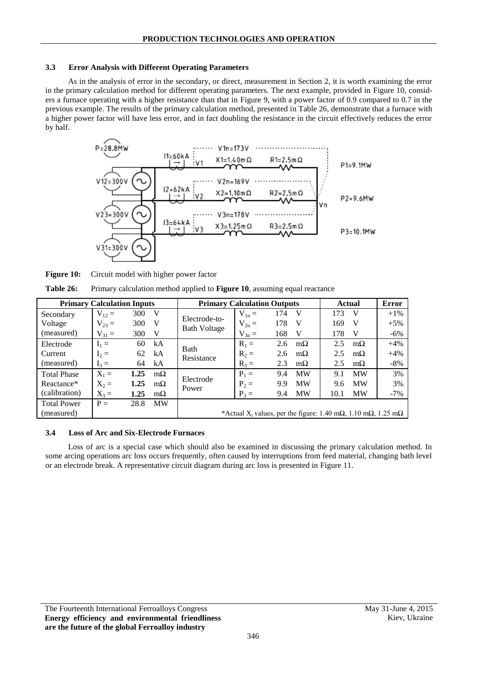#### **3.3 Error Analysis with Different Operating Parameters**

As in the analysis of error in the secondary, or direct, measurement in Section [2,](#page-1-1) it is worth examining the error in the primary calculation method for different operating parameters. The next example, provided in [Figure 10,](#page-8-0) considers a furnace operating with a higher resistance than that in [Figure 9,](#page-7-1) with a power factor of 0.9 compared to 0.7 in the previous example. The results of the primary calculation method, presented in [Table 26,](#page-8-1) demonstrate that a furnace with a higher power factor will have less error, and in fact doubling the resistance in the circuit effectively reduces the error by half.



<span id="page-8-0"></span>**Figure 10:** Circuit model with higher power factor

<span id="page-8-1"></span>

| Table 26: |  |  |  | Primary calculation method applied to <b>Figure 10</b> , assuming equal reactance |
|-----------|--|--|--|-----------------------------------------------------------------------------------|
|-----------|--|--|--|-----------------------------------------------------------------------------------|

| <b>Primary Calculation Inputs</b> |            |      | <b>Primary Calculation Outputs</b> |                                      | Actual                                                                                    | <b>Error</b> |           |      |           |        |
|-----------------------------------|------------|------|------------------------------------|--------------------------------------|-------------------------------------------------------------------------------------------|--------------|-----------|------|-----------|--------|
| Secondary                         | $V_{12} =$ | 300  | - V                                |                                      | $V_{1n} =$                                                                                | 174          | V         | 173  | V         | $+1\%$ |
| Voltage                           | $V_{23} =$ | 300  | V                                  | Electrode-to-<br><b>Bath Voltage</b> | $V_{2n} =$                                                                                | 178          | V         | 169  | V         | $+5%$  |
| (measured)                        | $V_{31} =$ | 300  | V                                  |                                      | $V_{3n} =$                                                                                | 168          | V         | 178  | V         | $-6%$  |
| Electrode                         | $I_1 =$    | 60   | kA                                 | <b>Bath</b>                          | $R_1 =$                                                                                   | 2.6          | $m\Omega$ | 2.5  | $m\Omega$ | $+4%$  |
| Current                           | $I_2 =$    | 62   | kA                                 | Resistance                           | $R_2 =$                                                                                   | 2.6          | $m\Omega$ | 2.5  | $m\Omega$ | $+4%$  |
| (measured)                        | $I_3 =$    | 64   | kA                                 |                                      | $R_3 =$                                                                                   | 2.3          | $m\Omega$ | 2.5  | $m\Omega$ | $-8\%$ |
| <b>Total Phase</b>                | $X_1 =$    | 1.25 | $m\Omega$                          |                                      | $P_1 =$                                                                                   | 9.4          | <b>MW</b> | 9.1  | <b>MW</b> | 3%     |
| Reactance*                        | $X_2 =$    | 1.25 | $m\Omega$                          | Electrode<br>Power                   | $P_2 =$                                                                                   | 9.9          | <b>MW</b> | 9.6  | <b>MW</b> | 3%     |
| (calibration)                     | $X_3 =$    | 1.25 | $m\Omega$                          |                                      | $P_3 =$                                                                                   | 9.4          | <b>MW</b> | 10.1 | <b>MW</b> | $-7%$  |
| <b>Total Power</b>                | $P =$      | 28.8 | <b>MW</b>                          |                                      |                                                                                           |              |           |      |           |        |
| (measured)                        |            |      |                                    |                                      | *Actual $X_i$ values, per the figure: 1.40 m $\Omega$ , 1.10 m $\Omega$ , 1.25 m $\Omega$ |              |           |      |           |        |

## **3.4 Loss of Arc and Six-Electrode Furnaces**

Loss of arc is a special case which should also be examined in discussing the primary calculation method. In some arcing operations arc loss occurs frequently, often caused by interruptions from feed material, changing bath level or an electrode break. A representative circuit diagram during arc loss is presented in [Figure 11.](#page-9-0)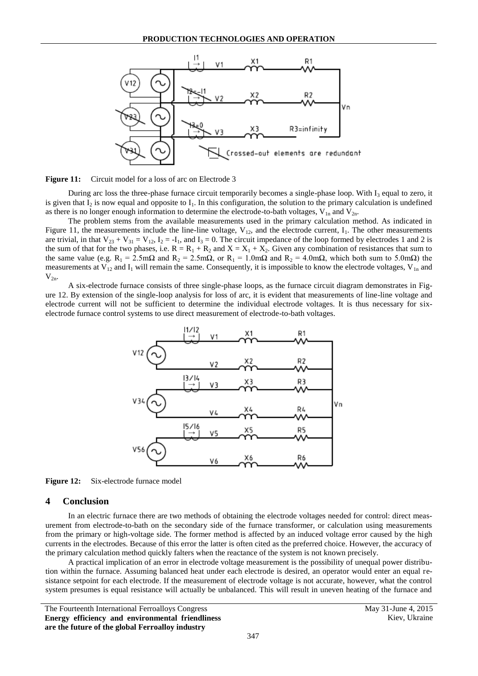

<span id="page-9-0"></span>Figure 11: Circuit model for a loss of arc on Electrode 3

During arc loss the three-phase furnace circuit temporarily becomes a single-phase loop. With  $I_3$  equal to zero, it is given that  $I_2$  is now equal and opposite to  $I_1$ . In this configuration, the solution to the primary calculation is undefined as there is no longer enough information to determine the electrode-to-bath voltages,  $V_{1n}$  and  $V_{2n}$ .

The problem stems from the available measurements used in the primary calculation method. As indicated in [Figure 11,](#page-9-0) the measurements include the line-line voltage,  $V_{12}$ , and the electrode current,  $I_1$ . The other measurements are trivial, in that  $V_{23} + V_{31} = V_{12}$ ,  $I_2 = -I_1$ , and  $I_3 = 0$ . The circuit impedance of the loop formed by electrodes 1 and 2 is the sum of that for the two phases, i.e.  $R = R_1 + R_2$  and  $X = X_1 + X_2$ . Given any combination of resistances that sum to the same value (e.g.  $R_1 = 2.5 \text{m}\Omega$  and  $R_2 = 2.5 \text{m}\Omega$ , or  $R_1 = 1.0 \text{m}\Omega$  and  $R_2 = 4.0 \text{m}\Omega$ , which both sum to 5.0m $\Omega$ ) the measurements at  $V_{12}$  and  $I_1$  will remain the same. Consequently, it is impossible to know the electrode voltages,  $V_{1n}$  and  $V_{2n}$ 

A six-electrode furnace consists of three single-phase loops, as the furnace circuit diagram demonstrates in [Fig](#page-9-1)[ure 12.](#page-9-1) By extension of the single-loop analysis for loss of arc, it is evident that measurements of line-line voltage and electrode current will not be sufficient to determine the individual electrode voltages. It is thus necessary for sixelectrode furnace control systems to use direct measurement of electrode-to-bath voltages.



<span id="page-9-1"></span>Figure 12: Six-electrode furnace model

#### **4 Conclusion**

In an electric furnace there are two methods of obtaining the electrode voltages needed for control: direct measurement from electrode-to-bath on the secondary side of the furnace transformer, or calculation using measurements from the primary or high-voltage side. The former method is affected by an induced voltage error caused by the high currents in the electrodes. Because of this error the latter is often cited as the preferred choice. However, the accuracy of the primary calculation method quickly falters when the reactance of the system is not known precisely.

A practical implication of an error in electrode voltage measurement is the possibility of unequal power distribution within the furnace. Assuming balanced heat under each electrode is desired, an operator would enter an equal resistance setpoint for each electrode. If the measurement of electrode voltage is not accurate, however, what the control system presumes is equal resistance will actually be unbalanced. This will result in uneven heating of the furnace and

The Fourteenth International Ferroalloys Congress May 31-June 4, 2015 **Energy efficiency and environmental friendliness are the future of the global Ferroalloy industry**